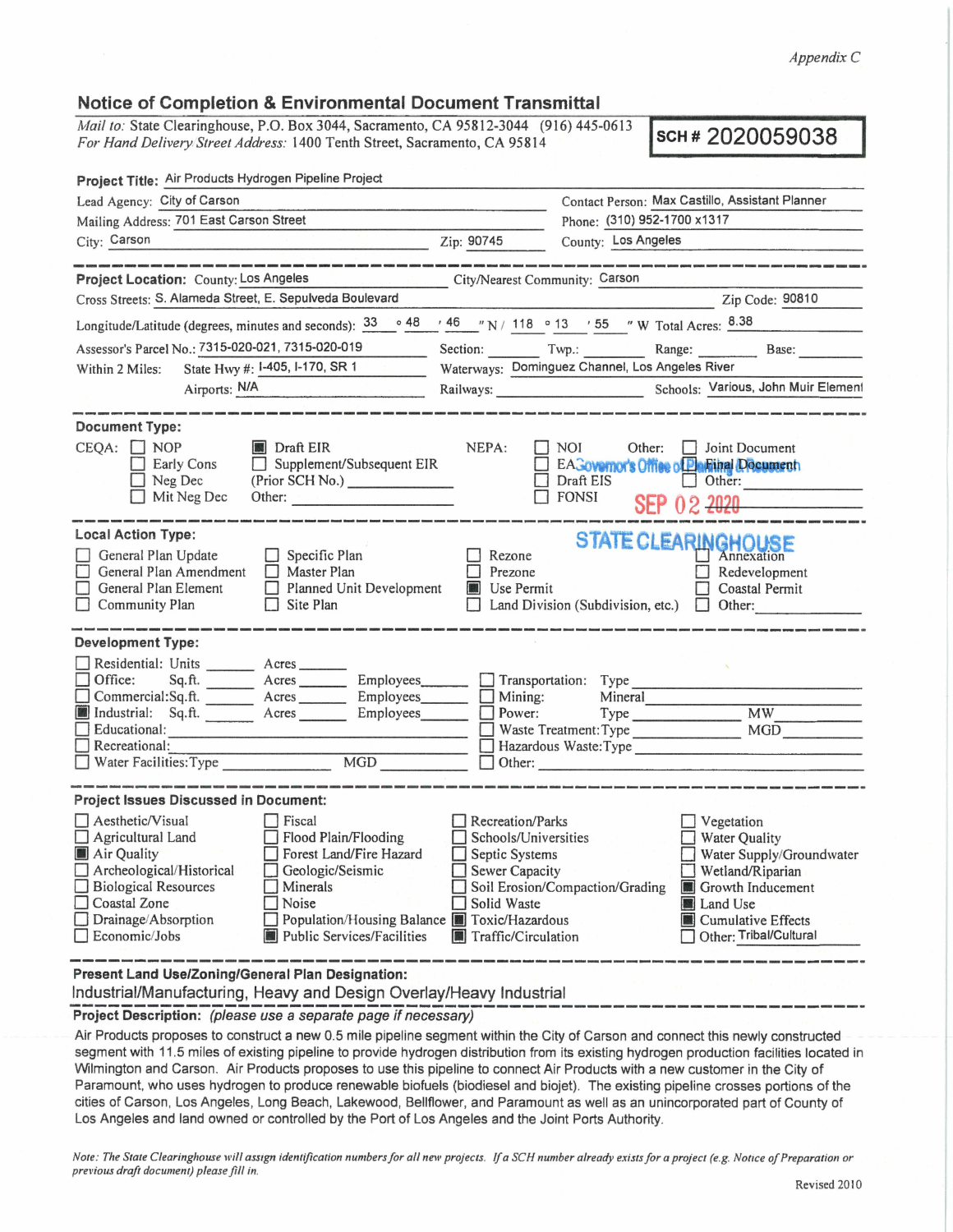*Appendix* C

## **Notice of Completion** & **Environmental Document Transmittal**

*Mail to:* State Clearinghouse, P.O. Box 3044, Sacramento, CA 95812-3044 (916) 445-0613 *For Hand Delivery Street Address:* 1400 Tenth Street, Sacramento, CA 95812-3044 (916) 445-0613 **SCH # 2020059038** *For Hand Delivery Street Address:* **1400 Tenth Street, Sacramento, CA 95814** 

| Project Title: Air Products Hydrogen Pipeline Project                                                                                                                                                                                                                                                                                                                             |                                                                                                                    |                                                                                                                                                                                                 |
|-----------------------------------------------------------------------------------------------------------------------------------------------------------------------------------------------------------------------------------------------------------------------------------------------------------------------------------------------------------------------------------|--------------------------------------------------------------------------------------------------------------------|-------------------------------------------------------------------------------------------------------------------------------------------------------------------------------------------------|
| Lead Agency: City of Carson                                                                                                                                                                                                                                                                                                                                                       |                                                                                                                    | Contact Person: Max Castillo, Assistant Planner                                                                                                                                                 |
| Mailing Address: 701 East Carson Street                                                                                                                                                                                                                                                                                                                                           |                                                                                                                    | Phone: (310) 952-1700 x1317                                                                                                                                                                     |
| City: Carson                                                                                                                                                                                                                                                                                                                                                                      | Zip: 90745                                                                                                         | County: Los Angeles                                                                                                                                                                             |
|                                                                                                                                                                                                                                                                                                                                                                                   |                                                                                                                    |                                                                                                                                                                                                 |
| Project Location: County: Los Angeles                                                                                                                                                                                                                                                                                                                                             | City/Nearest Community: Carson                                                                                     |                                                                                                                                                                                                 |
| Cross Streets: S. Alameda Street, E. Sepulveda Boulevard                                                                                                                                                                                                                                                                                                                          |                                                                                                                    | Zip Code: 90810                                                                                                                                                                                 |
| Longitude/Latitude (degrees, minutes and seconds): $\frac{33}{9}$ $\circ$ 48 $\prime$ 46 $\prime$ N / 118 $\circ$ 13 $\prime$ 55 $\prime$ W Total Acres: $\frac{8.38}{9}$                                                                                                                                                                                                         |                                                                                                                    |                                                                                                                                                                                                 |
| Assessor's Parcel No.: 7315-020-021, 7315-020-019                                                                                                                                                                                                                                                                                                                                 |                                                                                                                    | Section: Twp.: Range: Base:                                                                                                                                                                     |
| State Hwy #: 1-405, 1-170, SR 1<br>Within 2 Miles:                                                                                                                                                                                                                                                                                                                                |                                                                                                                    | Waterways: Dominguez Channel, Los Angeles River                                                                                                                                                 |
| Airports: N/A                                                                                                                                                                                                                                                                                                                                                                     |                                                                                                                    | Railways: Schools: Various, John Muir Element                                                                                                                                                   |
|                                                                                                                                                                                                                                                                                                                                                                                   |                                                                                                                    |                                                                                                                                                                                                 |
| <b>Document Type:</b><br>$CEQA: \Box NOP$<br>Draft EIR<br>Supplement/Subsequent EIR<br>Early Cons<br>(Prior SCH No.)<br>Neg Dec<br>Mit Neg Dec<br>Other: New York Products and Products and Products and Products and Products and Products and Products and Pro                                                                                                                  | NEPA:                                                                                                              | <b>NOI</b><br>Other: <b>Joint Document</b><br>EAGovernor's Office of Plantinal Document<br>Draft EIS<br>$\Box$ Other:<br><b>FONSI</b><br>SEP 02 2020                                            |
| <b>Local Action Type:</b><br>General Plan Update<br>$\Box$ Specific Plan<br>General Plan Amendment<br>Master Plan<br>General Plan Element<br>Planned Unit Development<br>$\Box$ Site Plan<br>Community Plan                                                                                                                                                                       | Rezone<br>Prezone<br><b>Use Permit</b>                                                                             | <b>STATE CLEARINGHOUSE</b><br>Annexation<br>Redevelopment<br>$\Box$ Coastal Permit<br>Land Division (Subdivision, etc.)<br>$\Box$ Other:                                                        |
| <b>Development Type:</b><br>Residential: Units ________ Acres ______<br>Office:<br>Sq.ft. ________ Acres _________ Employees _______ _ Transportation: Type<br>Commercial:Sq.ft. ________ Acres _________ Employees ________ Mining:<br>Industrial: Sq.ft. Acres Employees Power:<br>Educational:<br>Recreational:<br>MGD<br>$\Box$ Water Facilities: Type                        |                                                                                                                    | Mineral<br>Type <b>Exercise Exercise Exercise</b><br>MW<br><b>MGD</b><br>Waste Treatment: Type<br>Hazardous Waste: Type                                                                         |
| <b>Project Issues Discussed in Document:</b>                                                                                                                                                                                                                                                                                                                                      |                                                                                                                    |                                                                                                                                                                                                 |
| Aesthetic/Visual<br><b>Fiscal</b><br>Flood Plain/Flooding<br>Agricultural Land<br>Air Quality<br>Forest Land/Fire Hazard<br>Archeological/Historical<br>Geologic/Seismic<br><b>Biological Resources</b><br>Minerals<br>Coastal Zone<br>Noise<br>Drainage/Absorption<br>Population/Housing Balance <b>TE</b> Toxic/Hazardous<br>Economic/Jobs<br><b>Public Services/Facilities</b> | Recreation/Parks<br>Schools/Universities<br>Septic Systems<br>Sewer Capacity<br>Solid Waste<br>Traffic/Circulation | Vegetation<br>Water Quality<br>Water Supply/Groundwater<br>Wetland/Riparian<br>Soil Erosion/Compaction/Grading<br>Growth Inducement<br>Land Use<br>Cumulative Effects<br>Other: Tribal/Cultural |
| Present Land Use/Zoning/General Plan Designation:                                                                                                                                                                                                                                                                                                                                 |                                                                                                                    |                                                                                                                                                                                                 |

Industrial/Manufacturing, Heavy and Design Overlay/Heavy Industrial ---------------------------------------------------------~---- **Project Description:** (please use a separate page if necessary)

Air Products proposes to construct a new 0.5 mile pipeline segment within the City of Carson and connect this newly constructed segment with 11.5 miles of existing pipeline to provide hydrogen distribution from its existing hydrogen production facilities located in Wilmington and Carson. Air Products proposes to use this pipeline to connect Air Products with a new customer in the City of Paramount, who uses hydrogen to produce renewable biofuels (biodiesel and biojet). The existing pipeline crosses portions of the cities of Carson, Los Angeles, Long Beach, Lakewood, Bellflower, and Paramount as well as an unincorporated part of County of Los Angeles and land owned or controlled by the Port of Los Angeles and the Joint Ports Authority.

*Note: The State Clearinghouse will assign identification numbers for all new projects. If a SCH number already exists for a project (e.g. Notice of Preparation or previous draft document) please.fill in.*